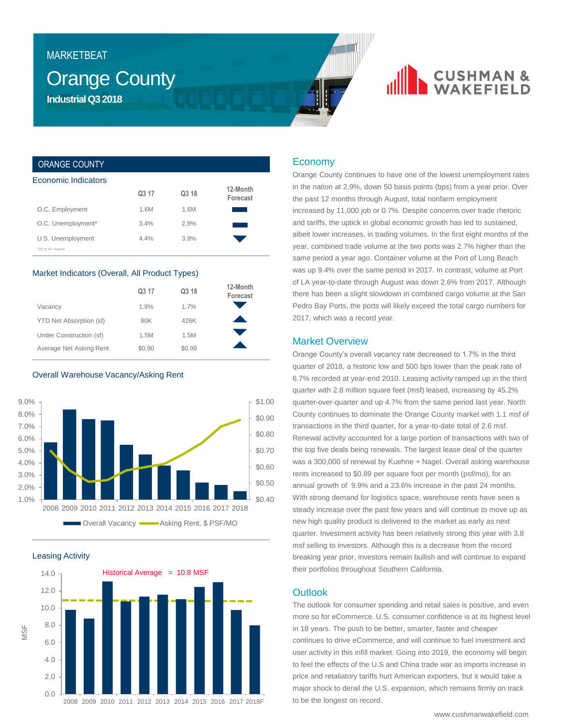## **MARKETBEAT**

## **Orange County Industrial Q3 2018**

# **CUSHMAN &**

## ORANGE COUNTY

| Economic Indicators                    |       |       |                      |  |  |  |
|----------------------------------------|-------|-------|----------------------|--|--|--|
|                                        | Q3 17 | Q3 18 | 12-Month<br>Forecast |  |  |  |
| O.C. Employment                        | 1.6M  | 1.6M  |                      |  |  |  |
| O.C. Unemployment*                     | 3.4%  | 2.9%  |                      |  |  |  |
| U.S. Unemployment<br>*3Q is for August | 4.4%  | 3.9%  |                      |  |  |  |

#### Market Indicators (Overall, All Product Types)

|                         | Q3 17  | Q3 18  | 12-Month<br>Forecast |
|-------------------------|--------|--------|----------------------|
| Vacancy                 | 1.9%   | 1.7%   |                      |
| YTD Net Absorption (sf) | 80K    | 426K   |                      |
| Under Construction (sf) | 1.5M   | 1.5M   |                      |
| Average Net Asking Rent | \$0.90 | \$0.99 |                      |

## Overall Warehouse Vacancy/Asking Rent







## Economy

Orange County continues to have one of the lowest unemployment rates in the nation at 2.9%, down 50 basis points (bps) from a year prior. Over the past 12 months through August, total nonfarm employment increased by 11,000 job or 0.7%. Despite concerns over trade rhetoric and tariffs, the uptick in global economic growth has led to sustained, albeit lower increases, in trading volumes. In the first eight months of the year, combined trade volume at the two ports was 2.7% higher than the same period a year ago. Container volume at the Port of Long Beach was up 9.4% over the same period in 2017. In contrast, volume at Port of LA year-to-date through August was down 2.6% from 2017. Although there has been a slight slowdown in combined cargo volume at the San Pedro Bay Ports, the ports will likely exceed the total cargo numbers for 2017, which was a record year.

## Market Overview

Orange County's overall vacancy rate decreased to 1.7% in the third quarter of 2018, a historic low and 500 bps lower than the peak rate of 6.7% recorded at year-end 2010. Leasing activity ramped up in the third quarter with 2.8 million square feet (msf) leased, increasing by 45.2% quarter-over-quarter and up 4.7% from the same period last year. North County continues to dominate the Orange County market with 1.1 msf of transactions in the third quarter, for a year-to-date total of 2.6 msf. Renewal activity accounted for a large portion of transactions with two of the top five deals being renewals. The largest lease deal of the quarter was a 300,000 sf renewal by Kuehne + Nagel. Overall asking warehouse rents increased to \$0.89 per square foot per month (psf/mo), for an annual growth of 9.9% and a 23.6% increase in the past 24 months. With strong demand for logistics space, warehouse rents have seen a steady increase over the past few years and will continue to move up as new high quality product is delivered to the market as early as next quarter. Investment activity has been relatively strong this year with 3.8 msf selling to investors. Although this is a decrease from the record breaking year prior, investors remain bullish and will continue to expand their portfolios throughout Southern California.

## **Outlook**

The outlook for consumer spending and retail sales is positive, and even more so for eCommerce. U.S. consumer confidence is at its highest level in 18 years. The push to be better, smarter, faster and cheaper continues to drive eCommerce, and will continue to fuel investment and user activity in this infill market. Going into 2019, the economy will begin to feel the effects of the U.S and China trade war as imports increase in price and retaliatory tariffs hurt American exporters, but it would take a major shock to derail the U.S. expansion, which remains firmly on track to be the longest on record.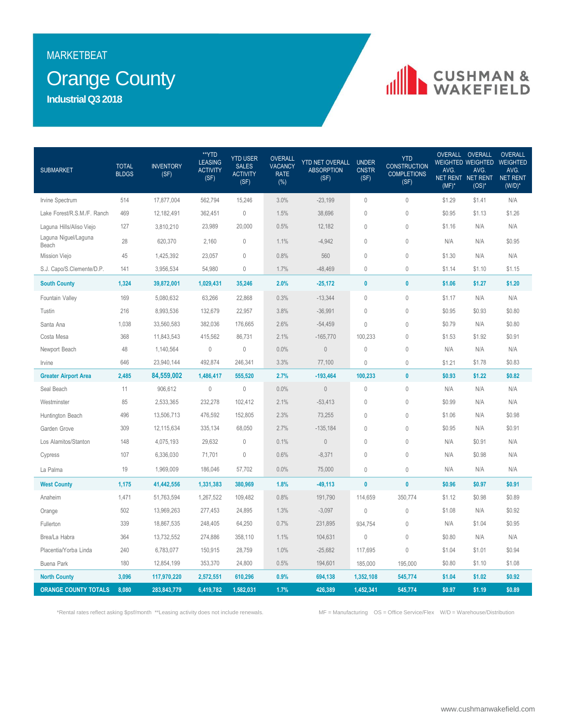## **MARKETBEAT**

## **Orange County**

**Industrial Q3 2018**

# **IN CUSHMAN &**

| <b>SUBMARKET</b>              | <b>TOTAL</b><br><b>BLDGS</b> | <b>INVENTORY</b><br>(SF) | **YTD<br><b>LEASING</b><br><b>ACTIVITY</b><br>(SF) | <b>YTD USER</b><br><b>SALES</b><br><b>ACTIVITY</b><br>(SF) | <b>OVERALL</b><br><b>VACANCY</b><br><b>RATE</b><br>$(\%)$ | <b>YTD NET OVERALL</b><br><b>ABSORPTION</b><br>(SF) | <b>UNDER</b><br><b>CNSTR</b><br>(SF) | <b>YTD</b><br><b>CONSTRUCTION</b><br><b>COMPLETIONS</b><br>(SF) | AVG.<br>$(MF)^*$ | OVERALL OVERALL<br><b>WEIGHTED WEIGHTED WEIGHTED</b><br>AVG.<br>NET RENT NET RENT<br>$(OS)^*$ | <b>OVERALL</b><br>AVG.<br>NET RENT<br>$(W/D)^*$ |
|-------------------------------|------------------------------|--------------------------|----------------------------------------------------|------------------------------------------------------------|-----------------------------------------------------------|-----------------------------------------------------|--------------------------------------|-----------------------------------------------------------------|------------------|-----------------------------------------------------------------------------------------------|-------------------------------------------------|
| Irvine Spectrum               | 514                          | 17,877,004               | 562,794                                            | 15,246                                                     | 3.0%                                                      | $-23,199$                                           | $\mathbf 0$                          | $\mathbf 0$                                                     | \$1.29           | \$1.41                                                                                        | N/A                                             |
| Lake Forest/R.S.M./F. Ranch   | 469                          | 12,182,491               | 362,451                                            | $\mathbb O$                                                | 1.5%                                                      | 38,696                                              | $\mathbf{0}$                         | $\mathbf 0$                                                     | \$0.95           | \$1.13                                                                                        | \$1.26                                          |
| Laguna Hills/Aliso Viejo      | 127                          | 3,810,210                | 23,989                                             | 20,000                                                     | 0.5%                                                      | 12,182                                              | $\mathbb O$                          | $\mathbb O$                                                     | \$1.16           | N/A                                                                                           | N/A                                             |
| Laguna Niguel/Laguna<br>Beach | 28                           | 620,370                  | 2,160                                              | $\mathbf 0$                                                | 1.1%                                                      | $-4,942$                                            | $\mathbf 0$                          | $\theta$                                                        | N/A              | N/A                                                                                           | \$0.95                                          |
| Mission Viejo                 | 45                           | 1,425,392                | 23,057                                             | $\mathbf 0$                                                | 0.8%                                                      | 560                                                 | $\mathbf 0$                          | $\theta$                                                        | \$1.30           | N/A                                                                                           | N/A                                             |
| S.J. Capo/S.Clemente/D.P.     | 141                          | 3,956,534                | 54,980                                             | $\mathbb O$                                                | 1.7%                                                      | $-48,469$                                           | $\theta$                             | $\theta$                                                        | \$1.14           | \$1.10                                                                                        | \$1.15                                          |
| <b>South County</b>           | 1,324                        | 39,872,001               | 1,029,431                                          | 35,246                                                     | 2.0%                                                      | $-25,172$                                           | $\pmb{0}$                            | $\pmb{0}$                                                       | \$1.06           | \$1.27                                                                                        | \$1.20                                          |
| Fountain Valley               | 169                          | 5,080,632                | 63,266                                             | 22,868                                                     | 0.3%                                                      | $-13,344$                                           | $\mathbb O$                          | $\mathbb O$                                                     | \$1.17           | N/A                                                                                           | N/A                                             |
| Tustin                        | 216                          | 8,993,536                | 132,679                                            | 22,957                                                     | 3.8%                                                      | $-36,991$                                           | $\mathbf{0}$                         | $\mathbb O$                                                     | \$0.95           | \$0.93                                                                                        | \$0.80                                          |
| Santa Ana                     | 1,038                        | 33,560,583               | 382,036                                            | 176,665                                                    | 2.6%                                                      | $-54,459$                                           | $\mathbf{0}$                         | $\mathbf 0$                                                     | \$0.79           | N/A                                                                                           | \$0.80                                          |
| Costa Mesa                    | 368                          | 11,843,543               | 415,562                                            | 86,731                                                     | 2.1%                                                      | $-165,770$                                          | 100,233                              | $\theta$                                                        | \$1.53           | \$1.92                                                                                        | \$0.91                                          |
| Newport Beach                 | 48                           | 1,140,564                | $\mathbf 0$                                        | $\mathbb O$                                                | 0.0%                                                      | $\mathbb O$                                         | $\mathbf{0}$                         | $\mathbb O$                                                     | N/A              | N/A                                                                                           | N/A                                             |
| Irvine                        | 646                          | 23,940,144               | 492,874                                            | 246,341                                                    | 3.3%                                                      | 77,100                                              | $\mathbf{0}$                         | $\theta$                                                        | \$1.21           | \$1.78                                                                                        | \$0.83                                          |
| <b>Greater Airport Area</b>   | 2,485                        | 84,559,002               | 1,486,417                                          | 555,520                                                    | 2.7%                                                      | $-193,464$                                          | 100,233                              | $\mathbf{0}$                                                    | \$0.93           | \$1.22                                                                                        | \$0.82                                          |
| Seal Beach                    | 11                           | 906,612                  | $\mathbb O$                                        | $\mathbb O$                                                | 0.0%                                                      | $\mathbb O$                                         | $\theta$                             | $\mathbb O$                                                     | N/A              | N/A                                                                                           | N/A                                             |
| Westminster                   | 85                           | 2,533,365                | 232,278                                            | 102,412                                                    | 2.1%                                                      | $-53,413$                                           | $\mathbb O$                          | $\theta$                                                        | \$0.99           | N/A                                                                                           | N/A                                             |
| Huntington Beach              | 496                          | 13,506,713               | 476,592                                            | 152,805                                                    | 2.3%                                                      | 73,255                                              | $\mathbf{0}$                         | $\mathbf 0$                                                     | \$1.06           | N/A                                                                                           | \$0.98                                          |
| Garden Grove                  | 309                          | 12,115,634               | 335,134                                            | 68,050                                                     | 2.7%                                                      | $-135,184$                                          | $\mathbf{0}$                         | $\theta$                                                        | \$0.95           | N/A                                                                                           | \$0.91                                          |
| Los Alamitos/Stanton          | 148                          | 4,075,193                | 29,632                                             | $\mathbb O$                                                | 0.1%                                                      | $\mathbb O$                                         | $\theta$                             | $\mathbf 0$                                                     | N/A              | \$0.91                                                                                        | N/A                                             |
| Cypress                       | 107                          | 6,336,030                | 71,701                                             | $\mathbf 0$                                                | 0.6%                                                      | $-8,371$                                            | $\theta$                             | $\theta$                                                        | N/A              | \$0.98                                                                                        | N/A                                             |
| La Palma                      | 19                           | 1,969,009                | 186,046                                            | 57,702                                                     | 0.0%                                                      | 75,000                                              | $\mathbf 0$                          | $\mathbb O$                                                     | N/A              | N/A                                                                                           | N/A                                             |
| <b>West County</b>            | 1,175                        | 41,442,556               | 1,331,383                                          | 380,969                                                    | 1.8%                                                      | $-49,113$                                           | $\mathbf{0}$                         | $\pmb{0}$                                                       | \$0.96           | \$0.97                                                                                        | \$0.91                                          |
| Anaheim                       | 1,471                        | 51,763,594               | 1,267,522                                          | 109,482                                                    | 0.8%                                                      | 191,790                                             | 114,659                              | 350,774                                                         | \$1.12           | \$0.98                                                                                        | \$0.89                                          |
| Orange                        | 502                          | 13,969,263               | 277,453                                            | 24,895                                                     | 1.3%                                                      | $-3,097$                                            | $\mathbb O$                          | $\mathbf 0$                                                     | \$1.08           | N/A                                                                                           | \$0.92                                          |
| Fullerton                     | 339                          | 18,867,535               | 248,405                                            | 64,250                                                     | 0.7%                                                      | 231,895                                             | 934,754                              | $\theta$                                                        | N/A              | \$1.04                                                                                        | \$0.95                                          |
| Brea/La Habra                 | 364                          | 13,732,552               | 274,886                                            | 358,110                                                    | 1.1%                                                      | 104,631                                             | $\mathbb O$                          | $\theta$                                                        | \$0.80           | N/A                                                                                           | N/A                                             |
| Placentia/Yorba Linda         | 240                          | 6,783,077                | 150,915                                            | 28,759                                                     | 1.0%                                                      | $-25,682$                                           | 117,695                              | $\mathbb O$                                                     | \$1.04           | \$1.01                                                                                        | \$0.94                                          |
| Buena Park                    | 180                          | 12,854,199               | 353,370                                            | 24,800                                                     | 0.5%                                                      | 194,601                                             | 185,000                              | 195,000                                                         | \$0.80           | \$1.10                                                                                        | \$1.08                                          |
| <b>North County</b>           | 3,096                        | 117,970,220              | 2,572,551                                          | 610,296                                                    | 0.9%                                                      | 694,138                                             | 1,352,108                            | 545,774                                                         | \$1.04           | \$1.02                                                                                        | \$0.92                                          |
| <b>ORANGE COUNTY TOTALS</b>   | 8,080                        | 283,843,779              | 6,419,782                                          | 1,582,031                                                  | 1.7%                                                      | 426,389                                             | 1,452,341                            | 545,774                                                         | \$0.97           | \$1.19                                                                                        | \$0.89                                          |

\*Rental rates reflect asking \$psf/month \*\*Leasing activity does not include renewals. MF = Manufacturing OS = Office Service/Flex W/D = Warehouse/Distribution